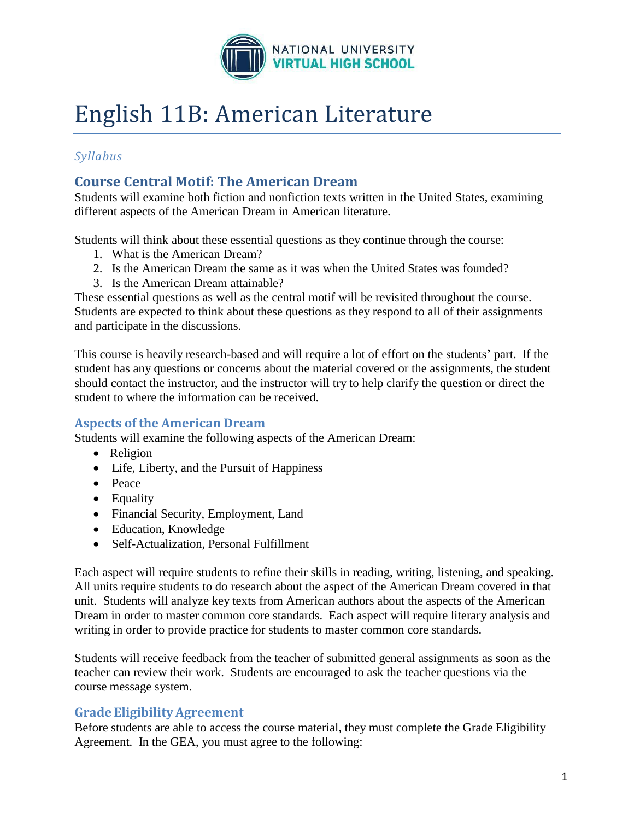

# English 11B: American Literature

# *Syllabus*

# **Course Central Motif: The American Dream**

Students will examine both fiction and nonfiction texts written in the United States, examining different aspects of the American Dream in American literature.

Students will think about these essential questions as they continue through the course:

- 1. What is the American Dream?
- 2. Is the American Dream the same as it was when the United States was founded?
- 3. Is the American Dream attainable?

These essential questions as well as the central motif will be revisited throughout the course. Students are expected to think about these questions as they respond to all of their assignments and participate in the discussions.

This course is heavily research-based and will require a lot of effort on the students' part. If the student has any questions or concerns about the material covered or the assignments, the student should contact the instructor, and the instructor will try to help clarify the question or direct the student to where the information can be received.

## **Aspects of the American Dream**

Students will examine the following aspects of the American Dream:

- Religion
- Life, Liberty, and the Pursuit of Happiness
- Peace
- Equality
- Financial Security, Employment, Land
- Education, Knowledge
- Self-Actualization, Personal Fulfillment

Each aspect will require students to refine their skills in reading, writing, listening, and speaking. All units require students to do research about the aspect of the American Dream covered in that unit. Students will analyze key texts from American authors about the aspects of the American Dream in order to master common core standards. Each aspect will require literary analysis and writing in order to provide practice for students to master common core standards.

Students will receive feedback from the teacher of submitted general assignments as soon as the teacher can review their work. Students are encouraged to ask the teacher questions via the course message system.

## **Grade EligibilityAgreement**

Before students are able to access the course material, they must complete the Grade Eligibility Agreement. In the GEA, you must agree to the following: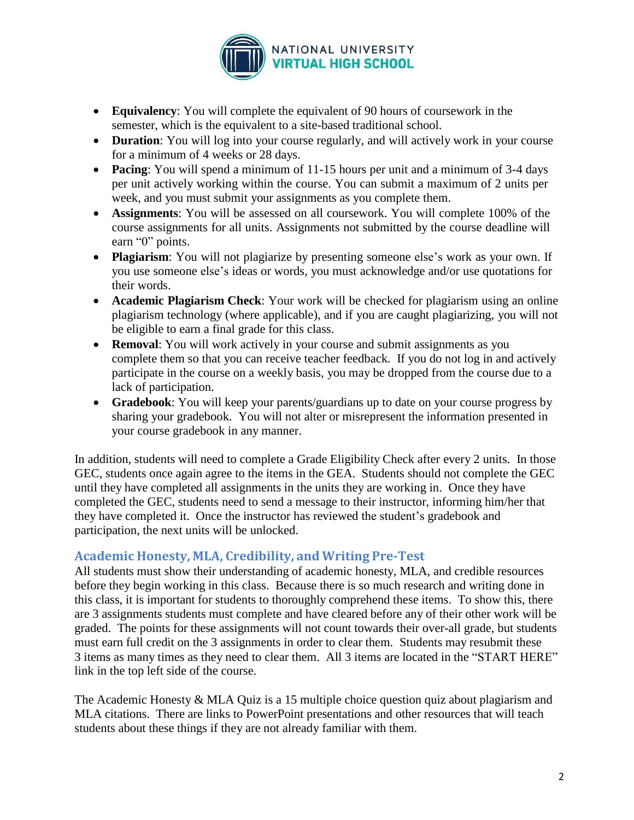

- **Equivalency**: You will complete the equivalent of 90 hours of coursework in the semester, which is the equivalent to a site-based traditional school.
- **Duration**: You will log into your course regularly, and will actively work in your course for a minimum of 4 weeks or 28 days.
- **Pacing**: You will spend a minimum of 11-15 hours per unit and a minimum of 3-4 days per unit actively working within the course. You can submit a maximum of 2 units per week, and you must submit your assignments as you complete them.
- **Assignments**: You will be assessed on all coursework. You will complete 100% of the course assignments for all units. Assignments not submitted by the course deadline will earn "0" points.
- **Plagiarism**: You will not plagiarize by presenting someone else's work as your own. If you use someone else's ideas or words, you must acknowledge and/or use quotations for their words.
- **Academic Plagiarism Check**: Your work will be checked for plagiarism using an online plagiarism technology (where applicable), and if you are caught plagiarizing, you will not be eligible to earn a final grade for this class.
- **Removal**: You will work actively in your course and submit assignments as you complete them so that you can receive teacher feedback. If you do not log in and actively participate in the course on a weekly basis, you may be dropped from the course due to a lack of participation.
- **Gradebook**: You will keep your parents/guardians up to date on your course progress by sharing your gradebook. You will not alter or misrepresent the information presented in your course gradebook in any manner.

In addition, students will need to complete a Grade Eligibility Check after every 2 units. In those GEC, students once again agree to the items in the GEA. Students should not complete the GEC until they have completed all assignments in the units they are working in. Once they have completed the GEC, students need to send a message to their instructor, informing him/her that they have completed it. Once the instructor has reviewed the student's gradebook and participation, the next units will be unlocked.

## **Academic Honesty, MLA, Credibility, and Writing Pre-Test**

All students must show their understanding of academic honesty, MLA, and credible resources before they begin working in this class. Because there is so much research and writing done in this class, it is important for students to thoroughly comprehend these items. To show this, there are 3 assignments students must complete and have cleared before any of their other work will be graded. The points for these assignments will not count towards their over-all grade, but students must earn full credit on the 3 assignments in order to clear them. Students may resubmit these 3 items as many times as they need to clear them. All 3 items are located in the "START HERE" link in the top left side of the course.

The Academic Honesty & MLA Quiz is a 15 multiple choice question quiz about plagiarism and MLA citations. There are links to PowerPoint presentations and other resources that will teach students about these things if they are not already familiar with them.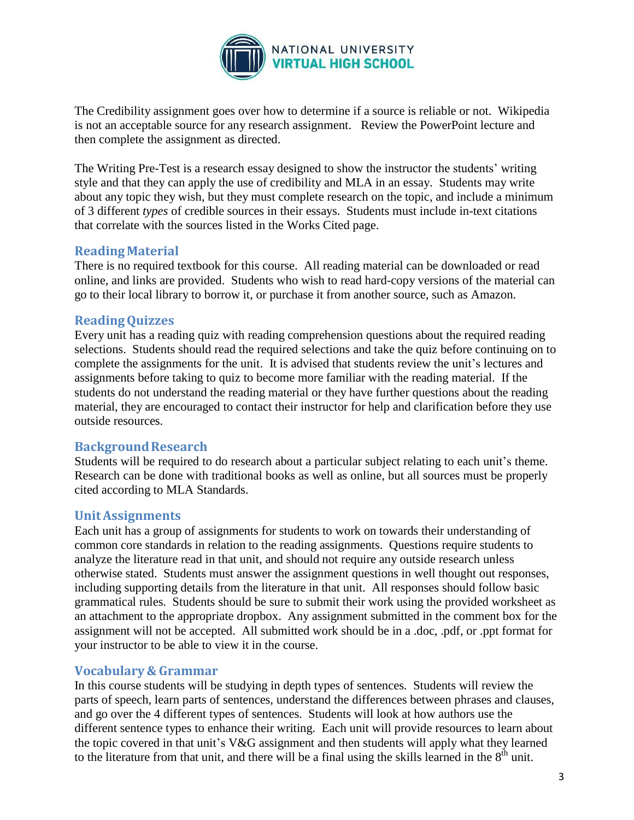

The Credibility assignment goes over how to determine if a source is reliable or not. Wikipedia is not an acceptable source for any research assignment. Review the PowerPoint lecture and then complete the assignment as directed.

The Writing Pre-Test is a research essay designed to show the instructor the students' writing style and that they can apply the use of credibility and MLA in an essay. Students may write about any topic they wish, but they must complete research on the topic, and include a minimum of 3 different *types* of credible sources in their essays. Students must include in-text citations that correlate with the sources listed in the Works Cited page.

## **ReadingMaterial**

There is no required textbook for this course. All reading material can be downloaded or read online, and links are provided. Students who wish to read hard-copy versions of the material can go to their local library to borrow it, or purchase it from another source, such as Amazon.

## **ReadingQuizzes**

Every unit has a reading quiz with reading comprehension questions about the required reading selections. Students should read the required selections and take the quiz before continuing on to complete the assignments for the unit. It is advised that students review the unit's lectures and assignments before taking to quiz to become more familiar with the reading material. If the students do not understand the reading material or they have further questions about the reading material, they are encouraged to contact their instructor for help and clarification before they use outside resources.

## **BackgroundResearch**

Students will be required to do research about a particular subject relating to each unit's theme. Research can be done with traditional books as well as online, but all sources must be properly cited according to MLA Standards.

## **UnitAssignments**

Each unit has a group of assignments for students to work on towards their understanding of common core standards in relation to the reading assignments. Questions require students to analyze the literature read in that unit, and should not require any outside research unless otherwise stated. Students must answer the assignment questions in well thought out responses, including supporting details from the literature in that unit. All responses should follow basic grammatical rules. Students should be sure to submit their work using the provided worksheet as an attachment to the appropriate dropbox. Any assignment submitted in the comment box for the assignment will not be accepted. All submitted work should be in a .doc, .pdf, or .ppt format for your instructor to be able to view it in the course.

## **Vocabulary & Grammar**

In this course students will be studying in depth types of sentences. Students will review the parts of speech, learn parts of sentences, understand the differences between phrases and clauses, and go over the 4 different types of sentences. Students will look at how authors use the different sentence types to enhance their writing. Each unit will provide resources to learn about the topic covered in that unit's V&G assignment and then students will apply what they learned to the literature from that unit, and there will be a final using the skills learned in the  $8<sup>th</sup>$  unit.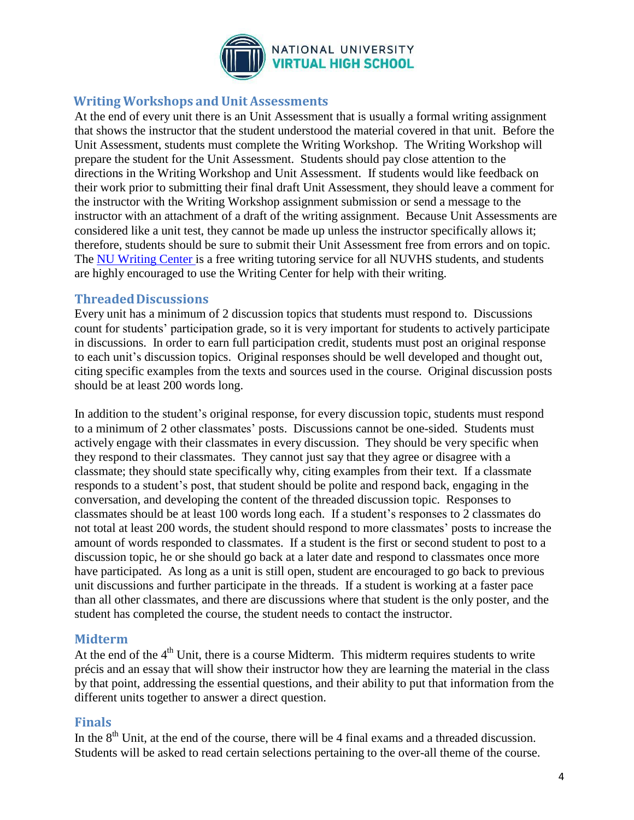

#### **Writing Workshops and Unit Assessments**

At the end of every unit there is an Unit Assessment that is usually a formal writing assignment that shows the instructor that the student understood the material covered in that unit. Before the Unit Assessment, students must complete the Writing Workshop. The Writing Workshop will prepare the student for the Unit Assessment. Students should pay close attention to the directions in the Writing Workshop and Unit Assessment. If students would like feedback on their work prior to submitting their final draft Unit Assessment, they should leave a comment for the instructor with the Writing Workshop assignment submission or send a message to the instructor with an attachment of a draft of the writing assignment. Because Unit Assessments are considered like a unit test, they cannot be made up unless the instructor specifically allows it; therefore, students should be sure to submit their Unit Assessment free from errors and on topic. The NU [Writing](http://www.nu.edu/OurPrograms/StudentServices/WritingCenter.html) Center is a free writing tutoring service for all NUVHS students, and students are highly encouraged to use the Writing Center for help with their writing.

#### **ThreadedDiscussions**

Every unit has a minimum of 2 discussion topics that students must respond to. Discussions count for students' participation grade, so it is very important for students to actively participate in discussions. In order to earn full participation credit, students must post an original response to each unit's discussion topics. Original responses should be well developed and thought out, citing specific examples from the texts and sources used in the course. Original discussion posts should be at least 200 words long.

In addition to the student's original response, for every discussion topic, students must respond to a minimum of 2 other classmates' posts. Discussions cannot be one-sided. Students must actively engage with their classmates in every discussion. They should be very specific when they respond to their classmates. They cannot just say that they agree or disagree with a classmate; they should state specifically why, citing examples from their text. If a classmate responds to a student's post, that student should be polite and respond back, engaging in the conversation, and developing the content of the threaded discussion topic. Responses to classmates should be at least 100 words long each. If a student's responses to 2 classmates do not total at least 200 words, the student should respond to more classmates' posts to increase the amount of words responded to classmates. If a student is the first or second student to post to a discussion topic, he or she should go back at a later date and respond to classmates once more have participated. As long as a unit is still open, student are encouraged to go back to previous unit discussions and further participate in the threads. If a student is working at a faster pace than all other classmates, and there are discussions where that student is the only poster, and the student has completed the course, the student needs to contact the instructor.

## **Midterm**

At the end of the  $4<sup>th</sup>$  Unit, there is a course Midterm. This midterm requires students to write précis and an essay that will show their instructor how they are learning the material in the class by that point, addressing the essential questions, and their ability to put that information from the different units together to answer a direct question.

## **Finals**

In the  $8<sup>th</sup>$  Unit, at the end of the course, there will be 4 final exams and a threaded discussion. Students will be asked to read certain selections pertaining to the over-all theme of the course.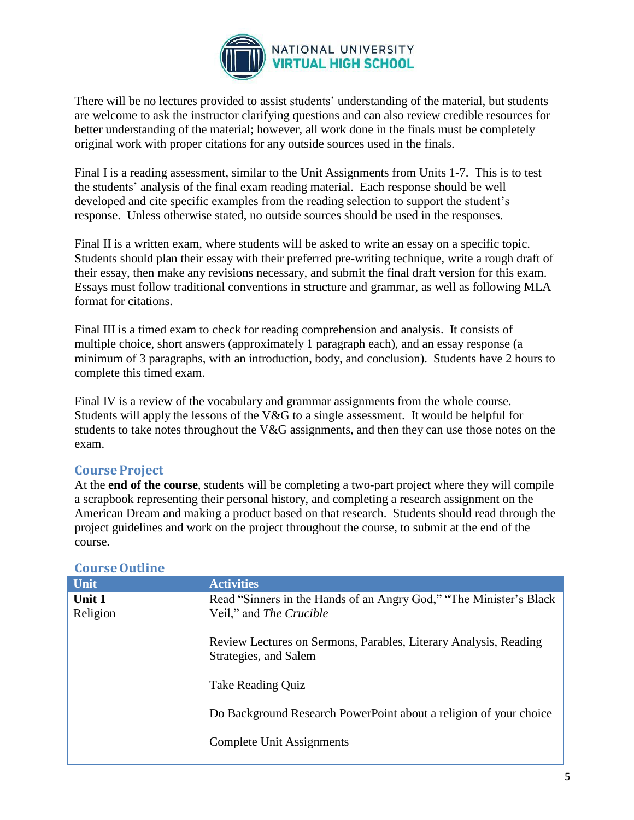

There will be no lectures provided to assist students' understanding of the material, but students are welcome to ask the instructor clarifying questions and can also review credible resources for better understanding of the material; however, all work done in the finals must be completely original work with proper citations for any outside sources used in the finals.

Final I is a reading assessment, similar to the Unit Assignments from Units 1-7. This is to test the students' analysis of the final exam reading material. Each response should be well developed and cite specific examples from the reading selection to support the student's response. Unless otherwise stated, no outside sources should be used in the responses.

Final II is a written exam, where students will be asked to write an essay on a specific topic. Students should plan their essay with their preferred pre-writing technique, write a rough draft of their essay, then make any revisions necessary, and submit the final draft version for this exam. Essays must follow traditional conventions in structure and grammar, as well as following MLA format for citations.

Final III is a timed exam to check for reading comprehension and analysis. It consists of multiple choice, short answers (approximately 1 paragraph each), and an essay response (a minimum of 3 paragraphs, with an introduction, body, and conclusion). Students have 2 hours to complete this timed exam.

Final IV is a review of the vocabulary and grammar assignments from the whole course. Students will apply the lessons of the V&G to a single assessment. It would be helpful for students to take notes throughout the V&G assignments, and then they can use those notes on the exam.

## **CourseProject**

At the **end of the course**, students will be completing a two-part project where they will compile a scrapbook representing their personal history, and completing a research assignment on the American Dream and making a product based on that research. Students should read through the project guidelines and work on the project throughout the course, to submit at the end of the course.

#### **CourseOutline**

| Unit     | <b>Activities</b>                                                                         |  |
|----------|-------------------------------------------------------------------------------------------|--|
| Unit 1   | Read "Sinners in the Hands of an Angry God," "The Minister's Black                        |  |
| Religion | Veil," and <i>The Crucible</i>                                                            |  |
|          | Review Lectures on Sermons, Parables, Literary Analysis, Reading<br>Strategies, and Salem |  |
|          | Take Reading Quiz                                                                         |  |
|          | Do Background Research PowerPoint about a religion of your choice                         |  |
|          | Complete Unit Assignments                                                                 |  |
|          |                                                                                           |  |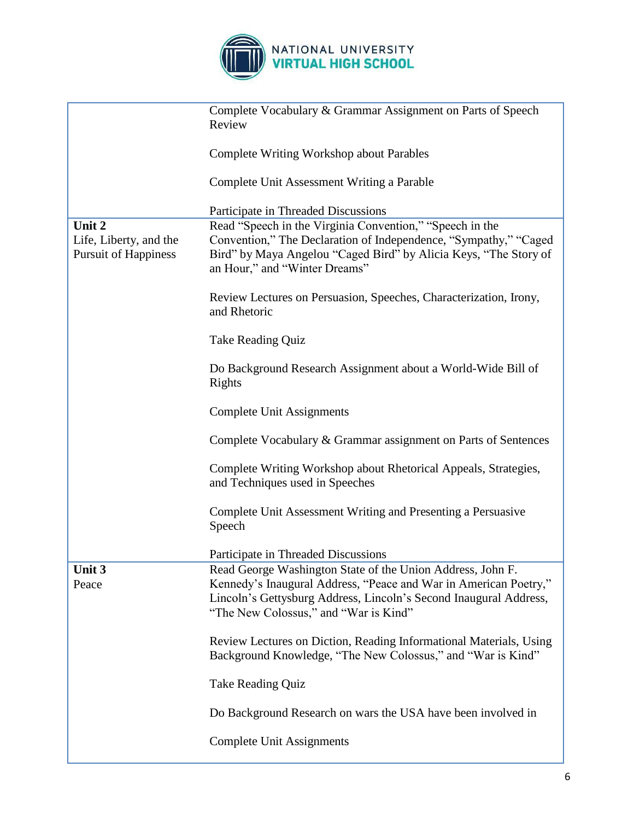

|                                                       | Complete Vocabulary & Grammar Assignment on Parts of Speech<br>Review                                                                                                                                                                        |  |  |
|-------------------------------------------------------|----------------------------------------------------------------------------------------------------------------------------------------------------------------------------------------------------------------------------------------------|--|--|
|                                                       | <b>Complete Writing Workshop about Parables</b>                                                                                                                                                                                              |  |  |
|                                                       | Complete Unit Assessment Writing a Parable                                                                                                                                                                                                   |  |  |
|                                                       | Participate in Threaded Discussions                                                                                                                                                                                                          |  |  |
| Unit 2                                                | Read "Speech in the Virginia Convention," "Speech in the                                                                                                                                                                                     |  |  |
| Life, Liberty, and the<br><b>Pursuit of Happiness</b> | Convention," The Declaration of Independence, "Sympathy," "Caged<br>Bird" by Maya Angelou "Caged Bird" by Alicia Keys, "The Story of<br>an Hour," and "Winter Dreams"                                                                        |  |  |
|                                                       | Review Lectures on Persuasion, Speeches, Characterization, Irony,<br>and Rhetoric                                                                                                                                                            |  |  |
|                                                       | <b>Take Reading Quiz</b>                                                                                                                                                                                                                     |  |  |
|                                                       | Do Background Research Assignment about a World-Wide Bill of<br>Rights                                                                                                                                                                       |  |  |
|                                                       | <b>Complete Unit Assignments</b>                                                                                                                                                                                                             |  |  |
|                                                       | Complete Vocabulary & Grammar assignment on Parts of Sentences                                                                                                                                                                               |  |  |
|                                                       | Complete Writing Workshop about Rhetorical Appeals, Strategies,<br>and Techniques used in Speeches                                                                                                                                           |  |  |
|                                                       | Complete Unit Assessment Writing and Presenting a Persuasive<br>Speech                                                                                                                                                                       |  |  |
|                                                       | Participate in Threaded Discussions                                                                                                                                                                                                          |  |  |
| Unit 3<br>Peace                                       | Read George Washington State of the Union Address, John F.<br>Kennedy's Inaugural Address, "Peace and War in American Poetry,"<br>Lincoln's Gettysburg Address, Lincoln's Second Inaugural Address,<br>"The New Colossus," and "War is Kind" |  |  |
|                                                       | Review Lectures on Diction, Reading Informational Materials, Using<br>Background Knowledge, "The New Colossus," and "War is Kind"                                                                                                            |  |  |
|                                                       | <b>Take Reading Quiz</b>                                                                                                                                                                                                                     |  |  |
|                                                       | Do Background Research on wars the USA have been involved in                                                                                                                                                                                 |  |  |
|                                                       | <b>Complete Unit Assignments</b>                                                                                                                                                                                                             |  |  |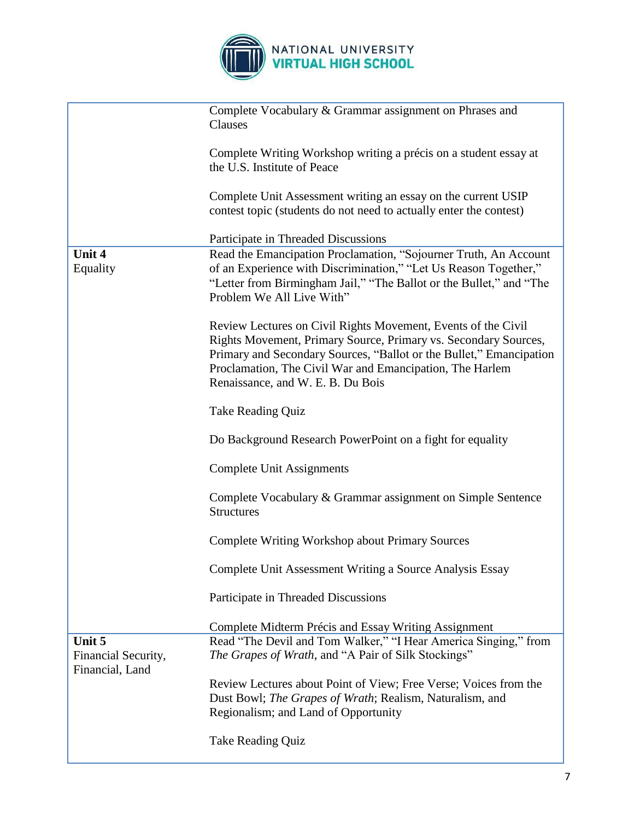

|                                                  | Complete Vocabulary & Grammar assignment on Phrases and<br>Clauses                                                                                                                                                                                                                                       |
|--------------------------------------------------|----------------------------------------------------------------------------------------------------------------------------------------------------------------------------------------------------------------------------------------------------------------------------------------------------------|
|                                                  | Complete Writing Workshop writing a précis on a student essay at<br>the U.S. Institute of Peace                                                                                                                                                                                                          |
|                                                  | Complete Unit Assessment writing an essay on the current USIP<br>contest topic (students do not need to actually enter the contest)                                                                                                                                                                      |
|                                                  | Participate in Threaded Discussions                                                                                                                                                                                                                                                                      |
| Unit 4<br>Equality                               | Read the Emancipation Proclamation, "Sojourner Truth, An Account<br>of an Experience with Discrimination," "Let Us Reason Together,"<br>"Letter from Birmingham Jail," "The Ballot or the Bullet," and "The<br>Problem We All Live With"                                                                 |
|                                                  | Review Lectures on Civil Rights Movement, Events of the Civil<br>Rights Movement, Primary Source, Primary vs. Secondary Sources,<br>Primary and Secondary Sources, "Ballot or the Bullet," Emancipation<br>Proclamation, The Civil War and Emancipation, The Harlem<br>Renaissance, and W. E. B. Du Bois |
|                                                  | Take Reading Quiz                                                                                                                                                                                                                                                                                        |
|                                                  | Do Background Research PowerPoint on a fight for equality                                                                                                                                                                                                                                                |
|                                                  | Complete Unit Assignments                                                                                                                                                                                                                                                                                |
|                                                  | Complete Vocabulary & Grammar assignment on Simple Sentence<br><b>Structures</b>                                                                                                                                                                                                                         |
|                                                  | <b>Complete Writing Workshop about Primary Sources</b>                                                                                                                                                                                                                                                   |
|                                                  | Complete Unit Assessment Writing a Source Analysis Essay                                                                                                                                                                                                                                                 |
|                                                  | Participate in Threaded Discussions                                                                                                                                                                                                                                                                      |
|                                                  | Complete Midterm Précis and Essay Writing Assignment                                                                                                                                                                                                                                                     |
| Unit 5<br>Financial Security,<br>Financial, Land | Read "The Devil and Tom Walker," "I Hear America Singing," from<br>The Grapes of Wrath, and "A Pair of Silk Stockings"                                                                                                                                                                                   |
|                                                  | Review Lectures about Point of View; Free Verse; Voices from the<br>Dust Bowl; <i>The Grapes of Wrath</i> ; Realism, Naturalism, and<br>Regionalism; and Land of Opportunity                                                                                                                             |
|                                                  | Take Reading Quiz                                                                                                                                                                                                                                                                                        |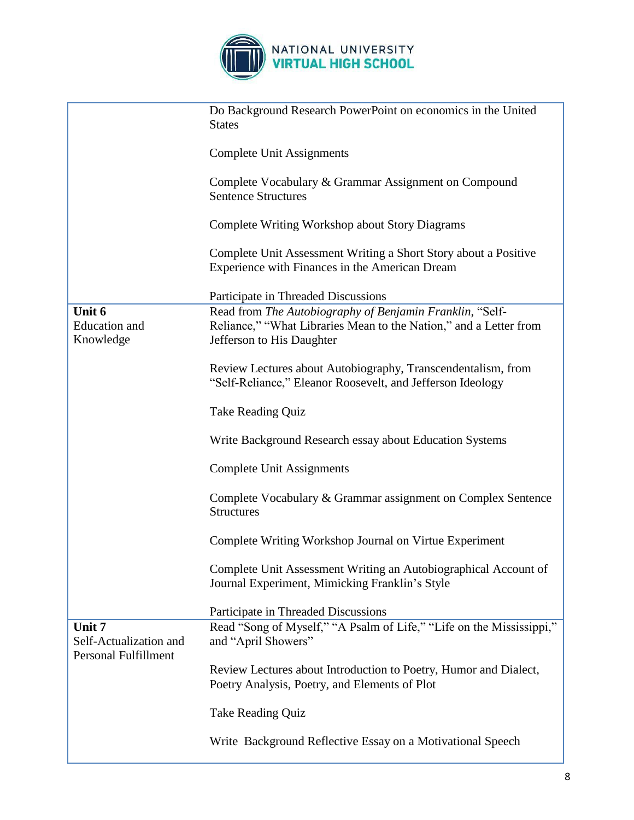

|                                                                 | Do Background Research PowerPoint on economics in the United<br><b>States</b>                                                                              |
|-----------------------------------------------------------------|------------------------------------------------------------------------------------------------------------------------------------------------------------|
|                                                                 | <b>Complete Unit Assignments</b>                                                                                                                           |
|                                                                 | Complete Vocabulary & Grammar Assignment on Compound<br><b>Sentence Structures</b>                                                                         |
|                                                                 | Complete Writing Workshop about Story Diagrams                                                                                                             |
|                                                                 | Complete Unit Assessment Writing a Short Story about a Positive<br>Experience with Finances in the American Dream                                          |
|                                                                 | Participate in Threaded Discussions                                                                                                                        |
| Unit 6<br><b>Education</b> and<br>Knowledge                     | Read from The Autobiography of Benjamin Franklin, "Self-<br>Reliance," "What Libraries Mean to the Nation," and a Letter from<br>Jefferson to His Daughter |
|                                                                 | Review Lectures about Autobiography, Transcendentalism, from<br>"Self-Reliance," Eleanor Roosevelt, and Jefferson Ideology                                 |
|                                                                 | <b>Take Reading Quiz</b>                                                                                                                                   |
|                                                                 | Write Background Research essay about Education Systems                                                                                                    |
|                                                                 | <b>Complete Unit Assignments</b>                                                                                                                           |
|                                                                 | Complete Vocabulary & Grammar assignment on Complex Sentence<br><b>Structures</b>                                                                          |
|                                                                 | Complete Writing Workshop Journal on Virtue Experiment                                                                                                     |
|                                                                 | Complete Unit Assessment Writing an Autobiographical Account of<br>Journal Experiment, Mimicking Franklin's Style                                          |
|                                                                 | Participate in Threaded Discussions                                                                                                                        |
| Unit 7<br>Self-Actualization and<br><b>Personal Fulfillment</b> | Read "Song of Myself," "A Psalm of Life," "Life on the Mississippi,"<br>and "April Showers"                                                                |
|                                                                 | Review Lectures about Introduction to Poetry, Humor and Dialect,<br>Poetry Analysis, Poetry, and Elements of Plot                                          |
|                                                                 | Take Reading Quiz                                                                                                                                          |
|                                                                 | Write Background Reflective Essay on a Motivational Speech                                                                                                 |

ш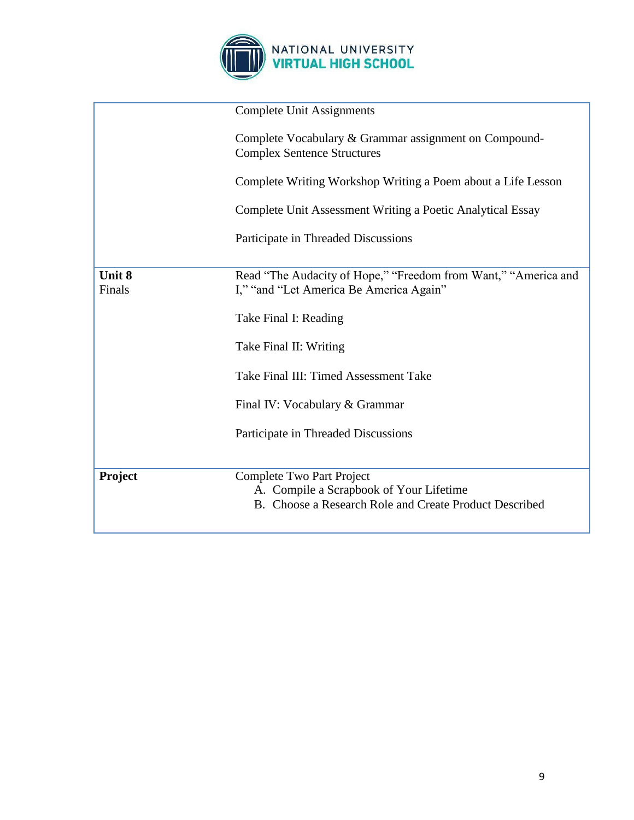

|                         | <b>Complete Unit Assignments</b>                                                                                               |
|-------------------------|--------------------------------------------------------------------------------------------------------------------------------|
|                         | Complete Vocabulary & Grammar assignment on Compound-<br><b>Complex Sentence Structures</b>                                    |
|                         | Complete Writing Workshop Writing a Poem about a Life Lesson                                                                   |
|                         | Complete Unit Assessment Writing a Poetic Analytical Essay                                                                     |
|                         | Participate in Threaded Discussions                                                                                            |
|                         |                                                                                                                                |
| <b>Unit 8</b><br>Finals | Read "The Audacity of Hope," "Freedom from Want," "America and<br>I," "and "Let America Be America Again"                      |
|                         | Take Final I: Reading                                                                                                          |
|                         | Take Final II: Writing                                                                                                         |
|                         | Take Final III: Timed Assessment Take                                                                                          |
|                         | Final IV: Vocabulary & Grammar                                                                                                 |
|                         | Participate in Threaded Discussions                                                                                            |
|                         |                                                                                                                                |
| Project                 | Complete Two Part Project<br>A. Compile a Scrapbook of Your Lifetime<br>B. Choose a Research Role and Create Product Described |
|                         |                                                                                                                                |